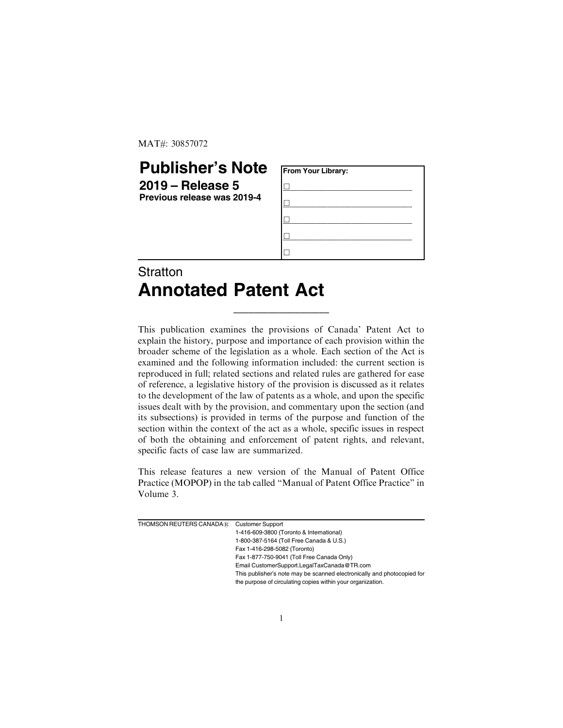MAT#: 30857072

## **Publisher's Note**

**2019 – Release 5 Previous release was 2019-4**

| From Your Library: |  |  |  |
|--------------------|--|--|--|
|                    |  |  |  |
|                    |  |  |  |
|                    |  |  |  |
|                    |  |  |  |
|                    |  |  |  |

## **Stratton Annotated Patent Act**

This publication examines the provisions of Canada' Patent Act to explain the history, purpose and importance of each provision within the broader scheme of the legislation as a whole. Each section of the Act is examined and the following information included: the current section is reproduced in full; related sections and related rules are gathered for ease of reference, a legislative history of the provision is discussed as it relates to the development of the law of patents as a whole, and upon the specific issues dealt with by the provision, and commentary upon the section (and its subsections) is provided in terms of the purpose and function of the section within the context of the act as a whole, specific issues in respect of both the obtaining and enforcement of patent rights, and relevant, specific facts of case law are summarized.

\_\_\_\_\_\_\_\_\_\_\_\_\_\_\_\_\_\_\_

This release features a new version of the Manual of Patent Office Practice (MOPOP) in the tab called "Manual of Patent Office Practice" in Volume 3.

| THOMSON REUTERS CANADA® | <b>Customer Support</b>                                                 |
|-------------------------|-------------------------------------------------------------------------|
|                         | 1-416-609-3800 (Toronto & International)                                |
|                         | 1-800-387-5164 (Toll Free Canada & U.S.)                                |
|                         | Fax 1-416-298-5082 (Toronto)                                            |
|                         | Fax 1-877-750-9041 (Toll Free Canada Only)                              |
|                         | Email CustomerSupport.LegalTaxCanada@TR.com                             |
|                         | This publisher's note may be scanned electronically and photocopied for |
|                         | the purpose of circulating copies within your organization.             |
|                         |                                                                         |